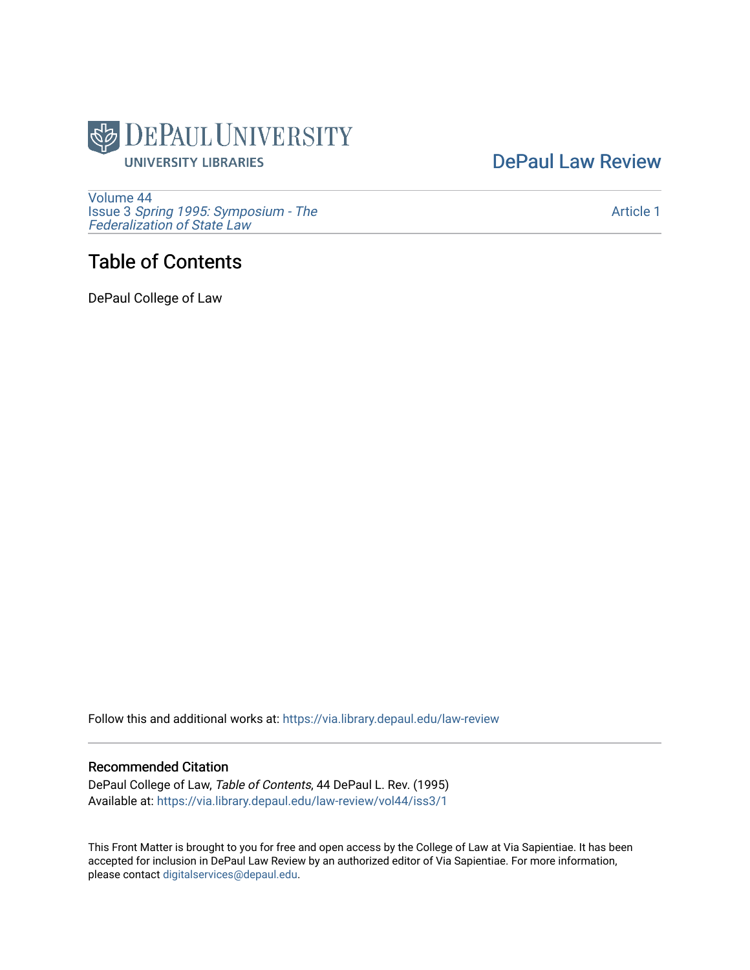

## [DePaul Law Review](https://via.library.depaul.edu/law-review)

[Volume 44](https://via.library.depaul.edu/law-review/vol44) Issue 3 [Spring 1995: Symposium - The](https://via.library.depaul.edu/law-review/vol44/iss3)  [Federalization of State Law](https://via.library.depaul.edu/law-review/vol44/iss3) 

## Table of Contents

DePaul College of Law

Follow this and additional works at: [https://via.library.depaul.edu/law-review](https://via.library.depaul.edu/law-review?utm_source=via.library.depaul.edu%2Flaw-review%2Fvol44%2Fiss3%2F1&utm_medium=PDF&utm_campaign=PDFCoverPages) 

#### Recommended Citation

DePaul College of Law, Table of Contents, 44 DePaul L. Rev. (1995) Available at: [https://via.library.depaul.edu/law-review/vol44/iss3/1](https://via.library.depaul.edu/law-review/vol44/iss3/1?utm_source=via.library.depaul.edu%2Flaw-review%2Fvol44%2Fiss3%2F1&utm_medium=PDF&utm_campaign=PDFCoverPages) 

This Front Matter is brought to you for free and open access by the College of Law at Via Sapientiae. It has been accepted for inclusion in DePaul Law Review by an authorized editor of Via Sapientiae. For more information, please contact [digitalservices@depaul.edu.](mailto:digitalservices@depaul.edu)

[Article 1](https://via.library.depaul.edu/law-review/vol44/iss3/1)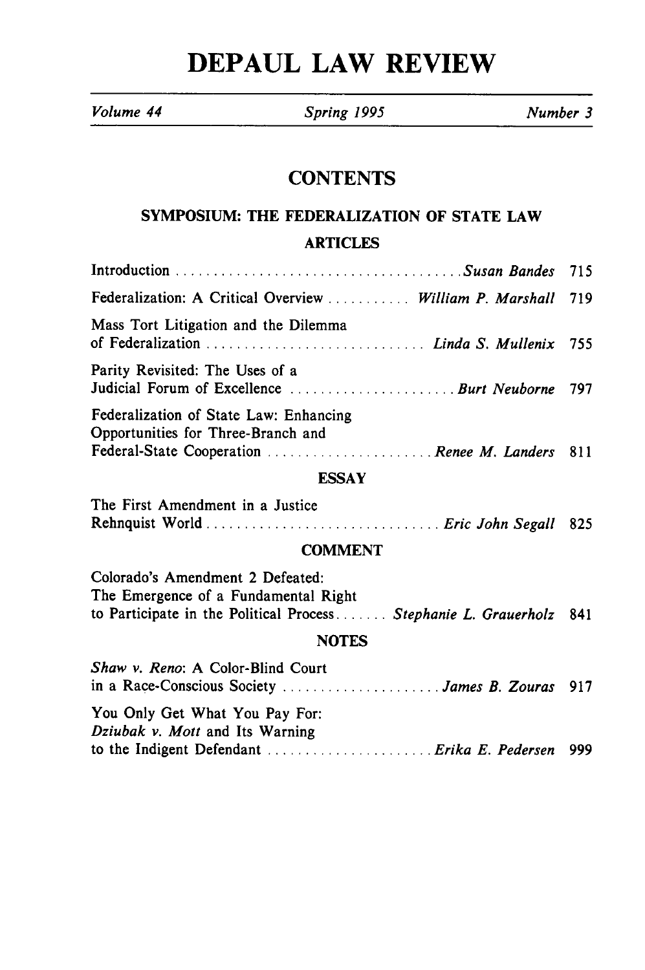# **DEPAUL LAW REVIEW**

*Volume 44 Spring 1995 Number 3*

### **CONTENTS**

### **SYMPOSIUM:** THE FEDERALIZATION OF **STATE** LAW ARTICLES

|                                                                                                                                                 | 715 |
|-------------------------------------------------------------------------------------------------------------------------------------------------|-----|
| Federalization: A Critical Overview  William P. Marshall                                                                                        | 719 |
| Mass Tort Litigation and the Dilemma                                                                                                            | 755 |
| Parity Revisited: The Uses of a<br>Judicial Forum of Excellence  Burt Neuborne                                                                  | 797 |
| Federalization of State Law: Enhancing<br>Opportunities for Three-Branch and<br>Federal-State Cooperation  Renee M. Landers 811                 |     |
| <b>ESSAY</b>                                                                                                                                    |     |
| The First Amendment in a Justice<br>Rehnquist World  Eric John Segall                                                                           | 825 |
| <b>COMMENT</b>                                                                                                                                  |     |
| Colorado's Amendment 2 Defeated:<br>The Emergence of a Fundamental Right<br>to Participate in the Political Process Stephanie L. Grauerholz 841 |     |
| <b>NOTES</b>                                                                                                                                    |     |
| Shaw v. Reno: A Color-Blind Court<br>in a Race-Conscious Society  James B. Zouras 917                                                           |     |

| You Only Get What You Pay For:  |  |
|---------------------------------|--|
| Dziubak v. Mott and Its Warning |  |
|                                 |  |